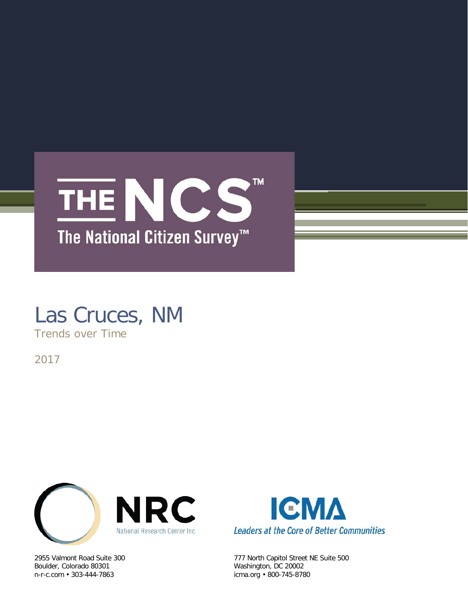

# Las Cruces, NM Trends over Time

2017



Boulder, Colorado 80301 Washington, DC 20002



2955 Valmont Road Suite 300 777 North Capitol Street NE Suite 500 icma.org • 800-745-8780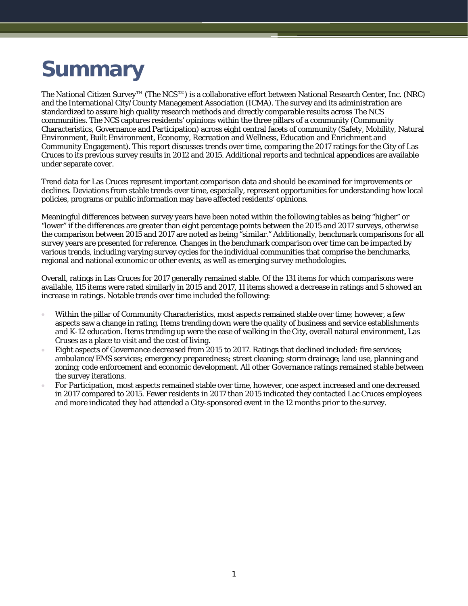# **Summary**

The National Citizen Survey™ (The NCS™) is a collaborative effort between National Research Center, Inc. (NRC) and the International City/County Management Association (ICMA). The survey and its administration are standardized to assure high quality research methods and directly comparable results across The NCS communities. The NCS captures residents' opinions within the three pillars of a community (Community Characteristics, Governance and Participation) across eight central facets of community (Safety, Mobility, Natural Environment, Built Environment, Economy, Recreation and Wellness, Education and Enrichment and Community Engagement). This report discusses trends over time, comparing the 2017 ratings for the City of Las Cruces to its previous survey results in 2012 and 2015. Additional reports and technical appendices are available under separate cover.

Trend data for Las Cruces represent important comparison data and should be examined for improvements or declines. Deviations from stable trends over time, especially, represent opportunities for understanding how local policies, programs or public information may have affected residents' opinions.

Meaningful differences between survey years have been noted within the following tables as being "higher" or "lower" if the differences are greater than eight percentage points between the 2015 and 2017 surveys, otherwise the comparison between 2015 and 2017 are noted as being "similar." Additionally, benchmark comparisons for all survey years are presented for reference. Changes in the benchmark comparison over time can be impacted by various trends, including varying survey cycles for the individual communities that comprise the benchmarks, regional and national economic or other events, as well as emerging survey methodologies.

Overall, ratings in Las Cruces for 2017 generally remained stable. Of the 131 items for which comparisons were available, 115 items were rated similarly in 2015 and 2017, 11 items showed a decrease in ratings and 5 showed an increase in ratings. Notable trends over time included the following:

- Within the pillar of Community Characteristics, most aspects remained stable over time; however, a few aspects saw a change in rating. Items trending down were the quality of business and service establishments and K-12 education. Items trending up were the ease of walking in the City, overall natural environment, Las Cruses as a place to visit and the cost of living.
- Eight aspects of Governance decreased from 2015 to 2017. Ratings that declined included: fire services; ambulance/EMS services; emergency preparedness; street cleaning; storm drainage; land use, planning and zoning; code enforcement and economic development. All other Governance ratings remained stable between the survey iterations.
- For Participation, most aspects remained stable over time, however, one aspect increased and one decreased in 2017 compared to 2015. Fewer residents in 2017 than 2015 indicated they contacted Lac Cruces employees and more indicated they had attended a City-sponsored event in the 12 months prior to the survey.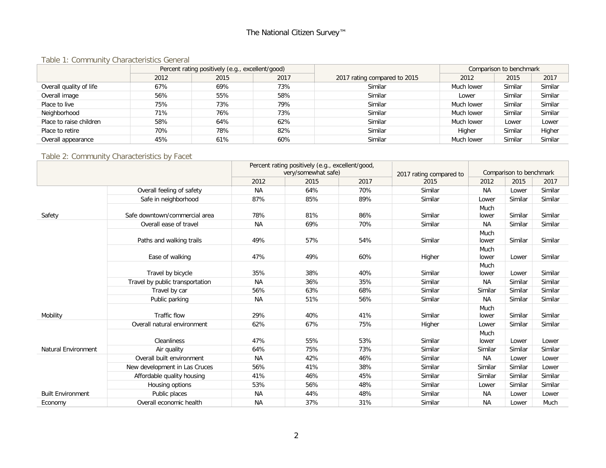#### Table 1: Community Characteristics General

|                         | Percent rating positively (e.g., excellent/good) |      |      |                              | Comparison to benchmark |         |         |
|-------------------------|--------------------------------------------------|------|------|------------------------------|-------------------------|---------|---------|
|                         | 2012                                             | 2015 | 2017 | 2017 rating compared to 2015 | 2012                    | 2015    | 2017    |
| Overall quality of life | 67%                                              | 69%  | 73%  | Similar                      | Much lower              | Similar | Similar |
| Overall image           | 56%                                              | 55%  | 58%  | Similar                      | Lower                   | Similar | Similar |
| Place to live           | 75%                                              | 73%  | 79%  | Similar                      | Much lower              | Similar | Similar |
| Neighborhood            | 71%                                              | 76%  | 73%  | Similar                      | Much lower              | Similar | Similar |
| Place to raise children | 58%                                              | 64%  | 62%  | Similar                      | Much lower              | Lower   | Lower   |
| Place to retire         | 70%                                              | 78%  | 82%  | Similar                      | Higher                  | Similar | Higher  |
| Overall appearance      | 45%                                              | 61%  | 60%  | Similar                      | Much lower              | Similar | Similar |

#### Table 2: Community Characteristics by Facet

|                            |                                 |           | Percent rating positively (e.g., excellent/good, |      |                         | Comparison to benchmark |         |         |
|----------------------------|---------------------------------|-----------|--------------------------------------------------|------|-------------------------|-------------------------|---------|---------|
|                            |                                 |           | very/somewhat safe)                              |      | 2017 rating compared to |                         |         |         |
|                            |                                 | 2012      | 2015                                             | 2017 | 2015                    | 2012                    | 2015    | 2017    |
|                            | Overall feeling of safety       | <b>NA</b> | 64%                                              | 70%  | Similar                 | <b>NA</b>               | Lower   | Similar |
|                            | Safe in neighborhood            | 87%       | 85%                                              | 89%  | Similar                 | Lower                   | Similar | Similar |
| Safety                     | Safe downtown/commercial area   | 78%       | 81%                                              | 86%  | Similar                 | Much<br>lower           | Similar | Similar |
|                            | Overall ease of travel          | <b>NA</b> | 69%                                              | 70%  | Similar                 | <b>NA</b>               | Similar | Similar |
|                            | Paths and walking trails        | 49%       | 57%                                              | 54%  | Similar                 | Much<br>lower           | Similar | Similar |
|                            | Ease of walking                 | 47%       | 49%                                              | 60%  | Higher                  | Much<br>lower           | Lower   | Similar |
|                            | Travel by bicycle               | 35%       | 38%                                              | 40%  | Similar                 | Much<br>lower           | Lower   | Similar |
|                            | Travel by public transportation | <b>NA</b> | 36%                                              | 35%  | Similar                 | <b>NA</b>               | Similar | Similar |
|                            | Travel by car                   | 56%       | 63%                                              | 68%  | Similar                 | Similar                 | Similar | Similar |
|                            | Public parking                  | <b>NA</b> | 51%                                              | 56%  | Similar                 | <b>NA</b>               | Similar | Similar |
| Mobility                   | <b>Traffic flow</b>             | 29%       | 40%                                              | 41%  | Similar                 | Much<br>lower           | Similar | Similar |
|                            | Overall natural environment     | 62%       | 67%                                              | 75%  | Higher                  | Lower                   | Similar | Similar |
|                            | <b>Cleanliness</b>              | 47%       | 55%                                              | 53%  | Similar                 | Much<br>lower           | Lower   | Lower   |
| <b>Natural Environment</b> | Air quality                     | 64%       | 75%                                              | 73%  | Similar                 | Similar                 | Similar | Similar |
|                            | Overall built environment       | <b>NA</b> | 42%                                              | 46%  | Similar                 | <b>NA</b>               | Lower   | Lower   |
|                            | New development in Las Cruces   | 56%       | 41%                                              | 38%  | Similar                 | Similar                 | Similar | Lower   |
|                            | Affordable quality housing      | 41%       | 46%                                              | 45%  | Similar                 | Similar                 | Similar | Similar |
|                            | Housing options                 | 53%       | 56%                                              | 48%  | Similar                 | Lower                   | Similar | Similar |
| <b>Built Environment</b>   | Public places                   | <b>NA</b> | 44%                                              | 48%  | Similar                 | <b>NA</b>               | Lower   | Lower   |
| Economy                    | Overall economic health         | <b>NA</b> | 37%                                              | 31%  | Similar                 | <b>NA</b>               | Lower   | Much    |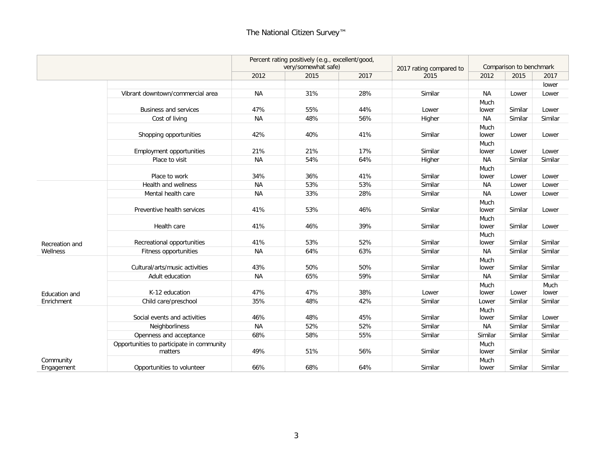|                         |                                                      | Percent rating positively (e.g., excellent/good,<br>very/somewhat safe) |      | 2017 rating compared to | Comparison to benchmark |               |         |               |
|-------------------------|------------------------------------------------------|-------------------------------------------------------------------------|------|-------------------------|-------------------------|---------------|---------|---------------|
|                         |                                                      | 2012                                                                    | 2015 | 2017                    | 2015                    | 2012          | 2015    | 2017          |
|                         |                                                      |                                                                         |      |                         |                         |               |         | lower         |
|                         | Vibrant downtown/commercial area                     | <b>NA</b>                                                               | 31%  | 28%                     | Similar                 | <b>NA</b>     | Lower   | Lower         |
|                         |                                                      |                                                                         |      |                         |                         | Much          |         |               |
|                         | <b>Business and services</b>                         | 47%                                                                     | 55%  | 44%                     | Lower                   | lower         | Similar | Lower         |
|                         | Cost of living                                       | <b>NA</b>                                                               | 48%  | 56%                     | Higher                  | <b>NA</b>     | Similar | Similar       |
|                         | Shopping opportunities                               | 42%                                                                     | 40%  | 41%                     | Similar                 | Much<br>lower | Lower   | Lower         |
|                         |                                                      |                                                                         |      |                         |                         | Much          |         |               |
|                         | Employment opportunities                             | 21%                                                                     | 21%  | 17%                     | Similar                 | lower         | Lower   | Lower         |
|                         | Place to visit                                       | <b>NA</b>                                                               | 54%  | 64%                     | Higher                  | <b>NA</b>     | Similar | Similar       |
|                         | Place to work                                        | 34%                                                                     | 36%  | 41%                     | Similar                 | Much<br>lower | Lower   | Lower         |
|                         | Health and wellness                                  | <b>NA</b>                                                               | 53%  | 53%                     | Similar                 | <b>NA</b>     | Lower   | Lower         |
|                         | Mental health care                                   | <b>NA</b>                                                               | 33%  | 28%                     | Similar                 | <b>NA</b>     | Lower   | Lower         |
|                         | Preventive health services                           | 41%                                                                     | 53%  | 46%                     | Similar                 | Much<br>lower | Similar | Lower         |
|                         | Health care                                          | 41%                                                                     | 46%  | 39%                     | Similar                 | Much<br>lower | Similar | Lower         |
| Recreation and          | Recreational opportunities                           | 41%                                                                     | 53%  | 52%                     | Similar                 | Much<br>lower | Similar | Similar       |
| Wellness                | Fitness opportunities                                | <b>NA</b>                                                               | 64%  | 63%                     | Similar                 | <b>NA</b>     | Similar | Similar       |
|                         | Cultural/arts/music activities                       | 43%                                                                     | 50%  | 50%                     | Similar                 | Much<br>lower | Similar | Similar       |
|                         | Adult education                                      | <b>NA</b>                                                               | 65%  | 59%                     | Similar                 | <b>NA</b>     | Similar | Similar       |
| <b>Education and</b>    | K-12 education                                       | 47%                                                                     | 47%  | 38%                     | Lower                   | Much<br>lower | Lower   | Much<br>lower |
| Enrichment              | Child care/preschool                                 | 35%                                                                     | 48%  | 42%                     | Similar                 | Lower         | Similar | Similar       |
|                         | Social events and activities                         | 46%                                                                     | 48%  | 45%                     | Similar                 | Much<br>lower | Similar | Lower         |
|                         | Neighborliness                                       | <b>NA</b>                                                               | 52%  | 52%                     | Similar                 | <b>NA</b>     | Similar | Similar       |
|                         | Openness and acceptance                              | 68%                                                                     | 58%  | 55%                     | Similar                 | Similar       | Similar | Similar       |
|                         | Opportunities to participate in community<br>matters | 49%                                                                     | 51%  | 56%                     | Similar                 | Much<br>lower | Similar | Similar       |
| Community<br>Engagement | Opportunities to volunteer                           | 66%                                                                     | 68%  | 64%                     | Similar                 | Much<br>lower | Similar | Similar       |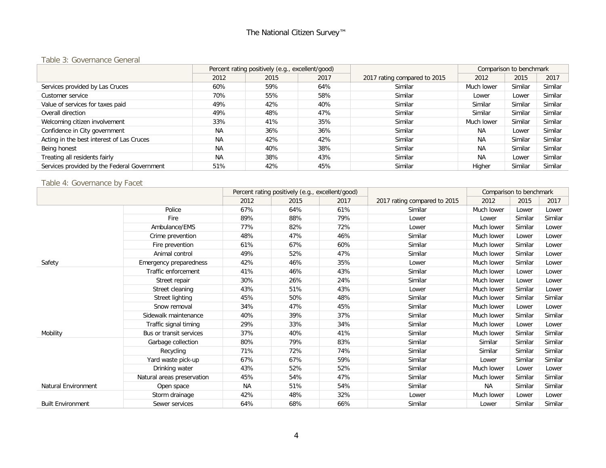#### Table 3: Governance General

|                                             |           | Percent rating positively (e.g., excellent/good) |      |                              |            | Comparison to benchmark |         |
|---------------------------------------------|-----------|--------------------------------------------------|------|------------------------------|------------|-------------------------|---------|
|                                             | 2012      | 2015                                             | 2017 | 2017 rating compared to 2015 | 2012       | 2015                    | 2017    |
| Services provided by Las Cruces             | 60%       | 59%                                              | 64%  | Similar                      | Much lower | Similar                 | Similar |
| Customer service                            | 70%       | 55%                                              | 58%  | Similar                      | Lower      | Lower                   | Similar |
| Value of services for taxes paid            | 49%       | 42%                                              | 40%  | Similar                      | Similar    | Similar                 | Similar |
| Overall direction                           | 49%       | 48%                                              | 47%  | Similar                      | Similar    | Similar                 | Similar |
| Welcoming citizen involvement               | 33%       | 41%                                              | 35%  | Similar                      | Much lower | Similar                 | Similar |
| Confidence in City government               | <b>NA</b> | 36%                                              | 36%  | Similar                      | <b>NA</b>  | Lower                   | Similar |
| Acting in the best interest of Las Cruces   | <b>NA</b> | 42%                                              | 42%  | Similar                      | <b>NA</b>  | Similar                 | Similar |
| Being honest                                | <b>NA</b> | 40%                                              | 38%  | Similar                      | <b>NA</b>  | Similar                 | Similar |
| Treating all residents fairly               | <b>NA</b> | 38%                                              | 43%  | Similar                      | <b>NA</b>  | Lower                   | Similar |
| Services provided by the Federal Government | 51%       | 42%                                              | 45%  | Similar                      | Higher     | Similar                 | Similar |

#### Table 4: Governance by Facet

|                            |                            |           | Percent rating positively (e.g., excellent/good) |      |                              | Comparison to benchmark |         |         |
|----------------------------|----------------------------|-----------|--------------------------------------------------|------|------------------------------|-------------------------|---------|---------|
|                            |                            | 2012      | 2015                                             | 2017 | 2017 rating compared to 2015 | 2012                    | 2015    | 2017    |
|                            | Police                     | 67%       | 64%                                              | 61%  | Similar                      | Much lower              | Lower   | Lower   |
|                            | Fire                       | 89%       | 88%                                              | 79%  | Lower                        | Lower                   | Similar | Similar |
|                            | Ambulance/EMS              | 77%       | 82%                                              | 72%  | Lower                        | Much lower              | Similar | Lower   |
|                            | Crime prevention           | 48%       | 47%                                              | 46%  | Similar                      | Much lower              | Lower   | Lower   |
|                            | Fire prevention            | 61%       | 67%                                              | 60%  | Similar                      | Much lower              | Similar | Lower   |
|                            | Animal control             | 49%       | 52%                                              | 47%  | Similar                      | Much lower              | Similar | Lower   |
| Safety                     | Emergency preparedness     | 42%       | 46%                                              | 35%  | Lower                        | Much lower              | Similar | Lower   |
|                            | Traffic enforcement        | 41%       | 46%                                              | 43%  | Similar                      | Much lower              | Lower   | Lower   |
|                            | Street repair              | 30%       | 26%                                              | 24%  | Similar                      | Much lower              | Lower   | Lower   |
|                            | Street cleaning            | 43%       | 51%                                              | 43%  | Lower                        | Much lower              | Similar | Lower   |
|                            | Street lighting            | 45%       | 50%                                              | 48%  | Similar                      | Much lower              | Similar | Similar |
|                            | Snow removal               | 34%       | 47%                                              | 45%  | Similar                      | Much lower              | Lower   | Lower   |
|                            | Sidewalk maintenance       | 40%       | 39%                                              | 37%  | Similar                      | Much lower              | Similar | Similar |
|                            | Traffic signal timing      | 29%       | 33%                                              | 34%  | Similar                      | Much lower              | Lower   | Lower   |
| Mobility                   | Bus or transit services    | 37%       | 40%                                              | 41%  | Similar                      | Much lower              | Similar | Similar |
|                            | Garbage collection         | 80%       | 79%                                              | 83%  | Similar                      | Similar                 | Similar | Similar |
|                            | Recycling                  | 71%       | 72%                                              | 74%  | Similar                      | Similar                 | Similar | Similar |
|                            | Yard waste pick-up         | 67%       | 67%                                              | 59%  | Similar                      | Lower                   | Similar | Similar |
|                            | Drinking water             | 43%       | 52%                                              | 52%  | Similar                      | Much lower              | Lower   | Lower   |
|                            | Natural areas preservation | 45%       | 54%                                              | 47%  | Similar                      | Much lower              | Similar | Similar |
| <b>Natural Environment</b> | Open space                 | <b>NA</b> | 51%                                              | 54%  | Similar                      | <b>NA</b>               | Similar | Similar |
|                            | Storm drainage             | 42%       | 48%                                              | 32%  | Lower                        | Much lower              | Lower   | Lower   |
| <b>Built Environment</b>   | Sewer services             | 64%       | 68%                                              | 66%  | Similar                      | Lower                   | Similar | Similar |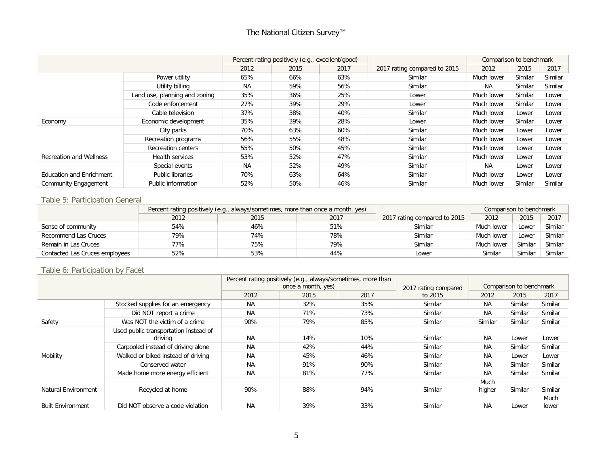# The National Citizen Survey™

|                                 |                               |           | Percent rating positively (e.g., excellent/good) |      |                              |            | Comparison to benchmark |         |
|---------------------------------|-------------------------------|-----------|--------------------------------------------------|------|------------------------------|------------|-------------------------|---------|
|                                 |                               | 2012      | 2015                                             | 2017 | 2017 rating compared to 2015 | 2012       | 2015                    | 2017    |
|                                 | Power utility                 | 65%       | 66%                                              | 63%  | Similar                      | Much lower | Similar                 | Similar |
|                                 | Utility billing               | <b>NA</b> | 59%                                              | 56%  | Similar                      | <b>NA</b>  | Similar                 | Similar |
|                                 | Land use, planning and zoning | 35%       | 36%                                              | 25%  | Lower                        | Much lower | Similar                 | Lower   |
|                                 | Code enforcement              | 27%       | 39%                                              | 29%  | Lower                        | Much lower | Similar                 | Lower   |
|                                 | Cable television              | 37%       | 38%                                              | 40%  | Similar                      | Much lower | Lower                   | Lower   |
| Economy                         | Economic development          | 35%       | 39%                                              | 28%  | Lower                        | Much lower | Similar                 | Lower   |
|                                 | City parks                    | 70%       | 63%                                              | 60%  | Similar                      | Much lower | Lower                   | Lower   |
|                                 | Recreation programs           | 56%       | 55%                                              | 48%  | Similar                      | Much lower | Lower                   | Lower   |
|                                 | <b>Recreation centers</b>     | 55%       | 50%                                              | 45%  | Similar                      | Much lower | Lower                   | Lower   |
| <b>Recreation and Wellness</b>  | Health services               | 53%       | 52%                                              | 47%  | Similar                      | Much lower | Lower                   | Lower   |
|                                 | Special events                | NA.       | 52%                                              | 49%  | Similar                      | <b>NA</b>  | Lower                   | Lower   |
| <b>Education and Enrichment</b> | Public libraries              | 70%       | 63%                                              | 64%  | Similar                      | Much lower | Lower                   | Lower   |
| <b>Community Engagement</b>     | Public information            | 52%       | 50%                                              | 46%  | Similar                      | Much lower | Similar                 | Similar |

#### Table 5: Participation General

|                                |      | Percent rating positively (e.g., always/sometimes, more than once a month, yes) |      | Comparison to benchmark      |            |         |         |
|--------------------------------|------|---------------------------------------------------------------------------------|------|------------------------------|------------|---------|---------|
|                                | 2012 | 2015                                                                            | 2017 | 2017 rating compared to 2015 | 2012       | 2015    | 2017    |
| Sense of community             | 54%  | 46%                                                                             | 51%  | Similar                      | Much lower | Lower   | Similar |
| Recommend Las Cruces           | 79%  | 74%                                                                             | 78%  | Similar                      | Much lower | Lower   | Similar |
| Remain in Las Cruces           | 77%  | 75%                                                                             | 79%  | Similar                      | Much lower | Similar | Similar |
| Contacted Las Cruces employees | 52%  | 53%                                                                             | 44%  | Lower                        | Similar    | Similar | Similar |

## Table 6: Participation by Facet

|                          |                                                  | Percent rating positively (e.g., always/sometimes, more than |                    |      |         |                         |         |         |
|--------------------------|--------------------------------------------------|--------------------------------------------------------------|--------------------|------|---------|-------------------------|---------|---------|
|                          |                                                  |                                                              | once a month, yes) |      |         | Comparison to benchmark |         |         |
|                          |                                                  | 2012                                                         | 2015               | 2017 | to 2015 | 2012                    | 2015    | 2017    |
|                          | Stocked supplies for an emergency                | <b>NA</b>                                                    | 32%                | 35%  | Similar | <b>NA</b>               | Similar | Similar |
|                          | Did NOT report a crime                           | <b>NA</b>                                                    | 71%                | 73%  | Similar | <b>NA</b>               | Similar | Similar |
| Safety                   | Was NOT the victim of a crime                    | 90%                                                          | 79%                | 85%  | Similar | Similar                 | Similar | Similar |
|                          | Used public transportation instead of<br>driving | <b>NA</b>                                                    | 14%                | 10%  | Similar | <b>NA</b>               | Lower   | Lower   |
|                          | Carpooled instead of driving alone               | NA                                                           | 42%                | 44%  | Similar | <b>NA</b>               | Similar | Similar |
| Mobility                 | Walked or biked instead of driving               | NA                                                           | 45%                | 46%  | Similar | <b>NA</b>               | Lower   | Lower   |
|                          | Conserved water                                  | <b>NA</b>                                                    | 91%                | 90%  | Similar | <b>NA</b>               | Similar | Similar |
|                          | Made home more energy efficient                  | <b>NA</b>                                                    | 81%                | 77%  | Similar | <b>NA</b>               | Similar | Similar |
| Natural Environment      | Recycled at home                                 | 90%                                                          | 88%                | 94%  | Similar | Much<br>higher          | Similar | Similar |
|                          |                                                  |                                                              |                    |      |         |                         |         | Much    |
| <b>Built Environment</b> | Did NOT observe a code violation                 | <b>NA</b>                                                    | 39%                | 33%  | Similar | <b>NA</b>               | Lower   | lower   |